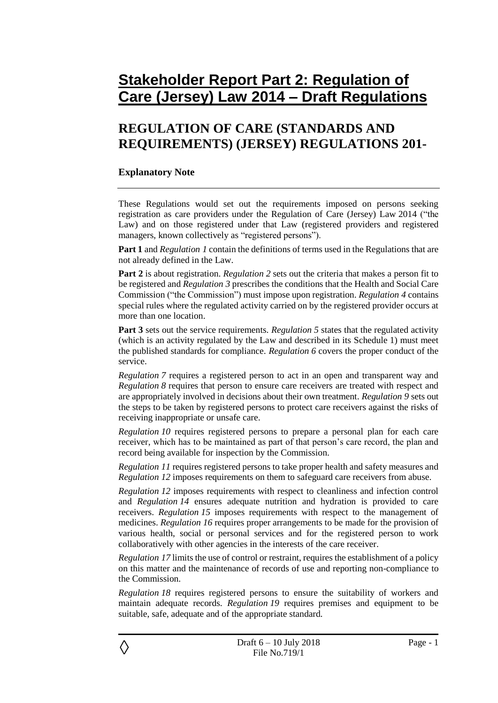# **Stakeholder Report Part 2: Regulation of Care (Jersey) Law 2014 – Draft Regulations**

# **REGULATION OF CARE (STANDARDS AND REQUIREMENTS) (JERSEY) REGULATIONS 201-**

### **Explanatory Note**

These Regulations would set out the requirements imposed on persons seeking registration as care providers under the Regulation of Care (Jersey) Law 2014 ("the Law) and on those registered under that Law (registered providers and registered managers, known collectively as "registered persons").

**Part 1** and *Regulation 1* contain the definitions of terms used in the Regulations that are not already defined in the Law.

**Part 2** is about registration. *Regulation* 2 sets out the criteria that makes a person fit to be registered and *Regulation 3* prescribes the conditions that the Health and Social Care Commission ("the Commission") must impose upon registration. *Regulation 4* contains special rules where the regulated activity carried on by the registered provider occurs at more than one location.

**Part 3** sets out the service requirements. *Regulation* 5 states that the regulated activity (which is an activity regulated by the Law and described in its Schedule 1) must meet the published standards for compliance. *Regulation 6* covers the proper conduct of the service.

*Regulation 7* requires a registered person to act in an open and transparent way and *Regulation 8* requires that person to ensure care receivers are treated with respect and are appropriately involved in decisions about their own treatment. *Regulation 9* sets out the steps to be taken by registered persons to protect care receivers against the risks of receiving inappropriate or unsafe care.

*Regulation 10* requires registered persons to prepare a personal plan for each care receiver, which has to be maintained as part of that person's care record, the plan and record being available for inspection by the Commission.

*Regulation 11* requires registered persons to take proper health and safety measures and *Regulation 12* imposes requirements on them to safeguard care receivers from abuse.

*Regulation 12* imposes requirements with respect to cleanliness and infection control and *Regulation 14* ensures adequate nutrition and hydration is provided to care receivers. *Regulation 15* imposes requirements with respect to the management of medicines. *Regulation 16* requires proper arrangements to be made for the provision of various health, social or personal services and for the registered person to work collaboratively with other agencies in the interests of the care receiver.

*Regulation 17* limits the use of control or restraint, requires the establishment of a policy on this matter and the maintenance of records of use and reporting non-compliance to the Commission.

*Regulation 18* requires registered persons to ensure the suitability of workers and maintain adequate records. *Regulation 19* requires premises and equipment to be suitable, safe, adequate and of the appropriate standard.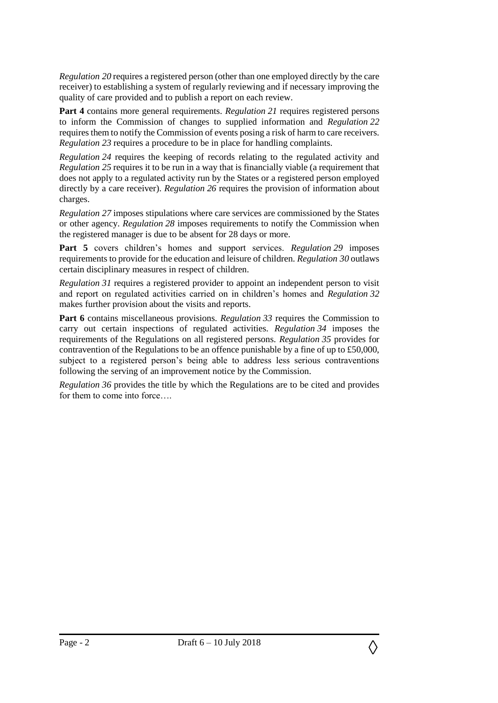*Regulation 20* requires a registered person (other than one employed directly by the care receiver) to establishing a system of regularly reviewing and if necessary improving the quality of care provided and to publish a report on each review.

**Part 4** contains more general requirements. *Regulation 21* requires registered persons to inform the Commission of changes to supplied information and *Regulation 22* requires them to notify the Commission of events posing a risk of harm to care receivers. *Regulation 23* requires a procedure to be in place for handling complaints.

*Regulation 24* requires the keeping of records relating to the regulated activity and *Regulation 25* requires it to be run in a way that is financially viable (a requirement that does not apply to a regulated activity run by the States or a registered person employed directly by a care receiver). *Regulation 26* requires the provision of information about charges.

*Regulation 27* imposes stipulations where care services are commissioned by the States or other agency. *Regulation 28* imposes requirements to notify the Commission when the registered manager is due to be absent for 28 days or more.

**Part 5** covers children's homes and support services. *Regulation 29* imposes requirements to provide for the education and leisure of children. *Regulation 30* outlaws certain disciplinary measures in respect of children.

*Regulation 31* requires a registered provider to appoint an independent person to visit and report on regulated activities carried on in children's homes and *Regulation 32* makes further provision about the visits and reports.

**Part 6** contains miscellaneous provisions. *Regulation* 33 requires the Commission to carry out certain inspections of regulated activities. *Regulation 34* imposes the requirements of the Regulations on all registered persons. *Regulation 35* provides for contravention of the Regulations to be an offence punishable by a fine of up to £50,000, subject to a registered person's being able to address less serious contraventions following the serving of an improvement notice by the Commission.

*Regulation 36* provides the title by which the Regulations are to be cited and provides for them to come into force….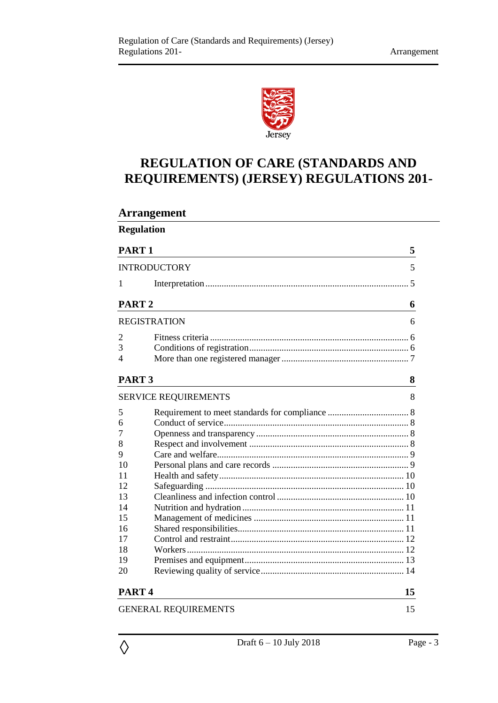

# **REGULATION OF CARE (STANDARDS AND REQUIREMENTS) (JERSEY) REGULATIONS 201-**

## **Arrangement**

| <b>Regulation</b>   |                             |    |  |  |
|---------------------|-----------------------------|----|--|--|
| PART <sub>1</sub>   |                             | 5  |  |  |
| <b>INTRODUCTORY</b> |                             | 5  |  |  |
| 1                   |                             |    |  |  |
| PART <sub>2</sub>   |                             | 6  |  |  |
|                     | <b>REGISTRATION</b>         | 6  |  |  |
| 2                   |                             |    |  |  |
| 3                   |                             |    |  |  |
| 4                   |                             |    |  |  |
| PART <sub>3</sub>   |                             | 8  |  |  |
|                     | <b>SERVICE REQUIREMENTS</b> | 8  |  |  |
| 5                   |                             |    |  |  |
| 6                   |                             |    |  |  |
| 7                   |                             |    |  |  |
| 8                   |                             |    |  |  |
| 9                   |                             |    |  |  |
| 10                  |                             |    |  |  |
| 11                  |                             |    |  |  |
| 12                  |                             |    |  |  |
| 13                  |                             |    |  |  |
| 14                  |                             |    |  |  |
| 15                  |                             |    |  |  |
| 16                  |                             |    |  |  |
| 17                  |                             |    |  |  |
| 18                  |                             |    |  |  |
| 19                  |                             |    |  |  |
| 20                  |                             |    |  |  |
| PART <sub>4</sub>   |                             | 15 |  |  |
|                     | <b>GENERAL REQUIREMENTS</b> | 15 |  |  |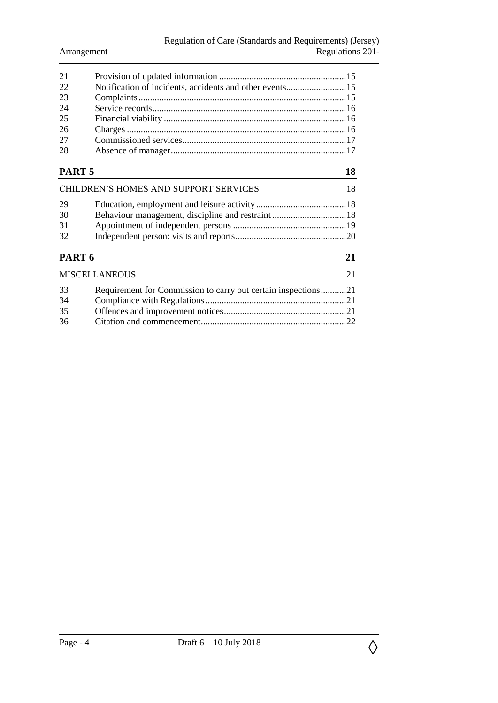| 2.1                                          |                                                         |    |
|----------------------------------------------|---------------------------------------------------------|----|
| 22                                           | Notification of incidents, accidents and other events15 |    |
| 23                                           |                                                         |    |
| -24                                          |                                                         |    |
| 25                                           |                                                         |    |
| -26                                          |                                                         |    |
| 27                                           |                                                         |    |
| 28                                           |                                                         |    |
| PART 5                                       |                                                         | 18 |
| <b>CHILDREN'S HOMES AND SUPPORT SERVICES</b> |                                                         |    |

| 29<br>30<br>31       |                                                               |              |
|----------------------|---------------------------------------------------------------|--------------|
| 32                   |                                                               |              |
| PART 6               |                                                               |              |
| <b>MISCELLANEOUS</b> |                                                               | 21           |
| 33                   | Requirement for Commission to carry out certain inspections21 |              |
| 34                   |                                                               |              |
| 25                   | Offensee and improvement notices                              | $^{\circ}$ 1 |

| 35 |  |
|----|--|
| 36 |  |
|    |  |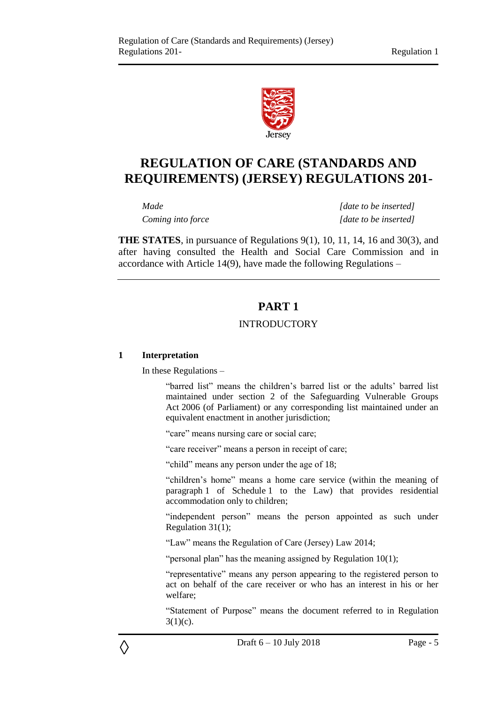

# **REGULATION OF CARE (STANDARDS AND REQUIREMENTS) (JERSEY) REGULATIONS 201-**

*Made [date to be inserted] Coming into force [date to be inserted]*

<span id="page-4-0"></span>**THE STATES**, in pursuance of Regulations 9(1), 10, 11, 14, 16 and 30(3), and after having consulted the Health and Social Care Commission and in accordance with Article 14(9), have made the following Regulations –

## **PART 1**

## INTRODUCTORY

#### <span id="page-4-2"></span><span id="page-4-1"></span>**1 Interpretation**

◊

In these Regulations –

"barred list" means the children's barred list or the adults' barred list maintained under section 2 of the Safeguarding Vulnerable Groups Act 2006 (of Parliament) or any corresponding list maintained under an equivalent enactment in another jurisdiction;

"care" means nursing care or social care;

"care receiver" means a person in receipt of care;

"child" means any person under the age of 18;

"children's home" means a home care service (within the meaning of paragraph 1 of Schedule 1 to the Law) that provides residential accommodation only to children;

"independent person" means the person appointed as such under Regulation 31(1);

"Law" means the Regulation of Care (Jersey) Law 2014;

"personal plan" has the meaning assigned by Regulation 10(1);

"representative" means any person appearing to the registered person to act on behalf of the care receiver or who has an interest in his or her welfare;

"Statement of Purpose" means the document referred to in Regulation  $3(1)(c)$ .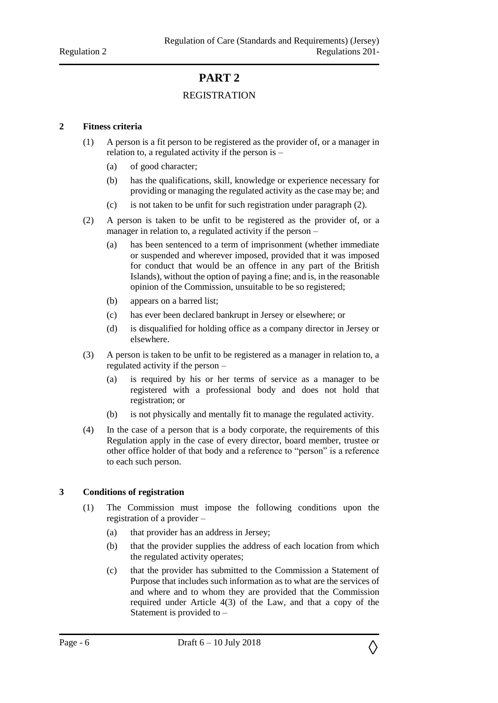## **PART 2**

## REGISTRATION

#### <span id="page-5-2"></span><span id="page-5-1"></span><span id="page-5-0"></span>**2 Fitness criteria**

- (1) A person is a fit person to be registered as the provider of, or a manager in relation to, a regulated activity if the person is –
	- (a) of good character;
	- (b) has the qualifications, skill, knowledge or experience necessary for providing or managing the regulated activity as the case may be; and
	- (c) is not taken to be unfit for such registration under paragraph (2).
- (2) A person is taken to be unfit to be registered as the provider of, or a manager in relation to, a regulated activity if the person –
	- (a) has been sentenced to a term of imprisonment (whether immediate or suspended and wherever imposed, provided that it was imposed for conduct that would be an offence in any part of the British Islands), without the option of paying a fine; and is, in the reasonable opinion of the Commission, unsuitable to be so registered;
	- (b) appears on a barred list;
	- (c) has ever been declared bankrupt in Jersey or elsewhere; or
	- (d) is disqualified for holding office as a company director in Jersey or elsewhere.
- (3) A person is taken to be unfit to be registered as a manager in relation to, a regulated activity if the person –
	- (a) is required by his or her terms of service as a manager to be registered with a professional body and does not hold that registration; or
	- (b) is not physically and mentally fit to manage the regulated activity.
- (4) In the case of a person that is a body corporate, the requirements of this Regulation apply in the case of every director, board member, trustee or other office holder of that body and a reference to "person" is a reference to each such person.

## <span id="page-5-3"></span>**3 Conditions of registration**

- (1) The Commission must impose the following conditions upon the registration of a provider –
	- (a) that provider has an address in Jersey;
	- (b) that the provider supplies the address of each location from which the regulated activity operates;
	- (c) that the provider has submitted to the Commission a Statement of Purpose that includes such information as to what are the services of and where and to whom they are provided that the Commission required under Article 4(3) of the Law, and that a copy of the Statement is provided to –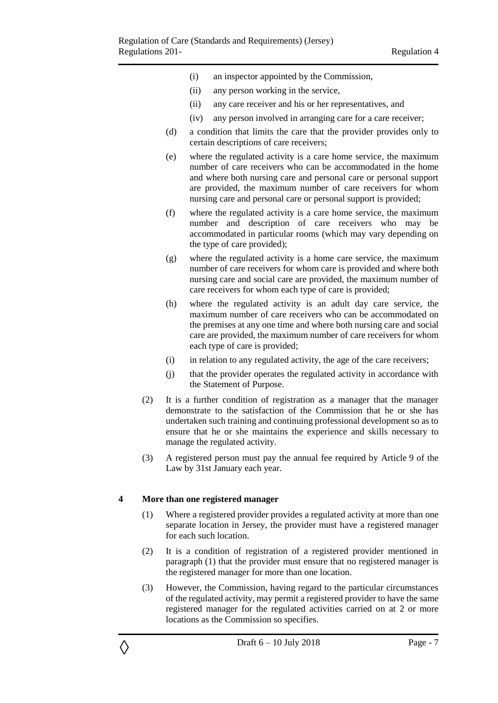- (i) an inspector appointed by the Commission,
- (ii) any person working in the service,
- (ii) any care receiver and his or her representatives, and
- (iv) any person involved in arranging care for a care receiver;
- (d) a condition that limits the care that the provider provides only to certain descriptions of care receivers;
- (e) where the regulated activity is a care home service, the maximum number of care receivers who can be accommodated in the home and where both nursing care and personal care or personal support are provided, the maximum number of care receivers for whom nursing care and personal care or personal support is provided;
- (f) where the regulated activity is a care home service, the maximum number and description of care receivers who may be accommodated in particular rooms (which may vary depending on the type of care provided);
- (g) where the regulated activity is a home care service, the maximum number of care receivers for whom care is provided and where both nursing care and social care are provided, the maximum number of care receivers for whom each type of care is provided;
- (h) where the regulated activity is an adult day care service, the maximum number of care receivers who can be accommodated on the premises at any one time and where both nursing care and social care are provided, the maximum number of care receivers for whom each type of care is provided;
- (i) in relation to any regulated activity, the age of the care receivers;
- (j) that the provider operates the regulated activity in accordance with the Statement of Purpose.
- (2) It is a further condition of registration as a manager that the manager demonstrate to the satisfaction of the Commission that he or she has undertaken such training and continuing professional development so as to ensure that he or she maintains the experience and skills necessary to manage the regulated activity.
- (3) A registered person must pay the annual fee required by Article 9 of the Law by 31st January each year.

#### <span id="page-6-0"></span>**4 More than one registered manager**

- (1) Where a registered provider provides a regulated activity at more than one separate location in Jersey, the provider must have a registered manager for each such location.
- (2) It is a condition of registration of a registered provider mentioned in paragraph (1) that the provider must ensure that no registered manager is the registered manager for more than one location.
- (3) However, the Commission, having regard to the particular circumstances of the regulated activity, may permit a registered provider to have the same registered manager for the regulated activities carried on at 2 or more locations as the Commission so specifies.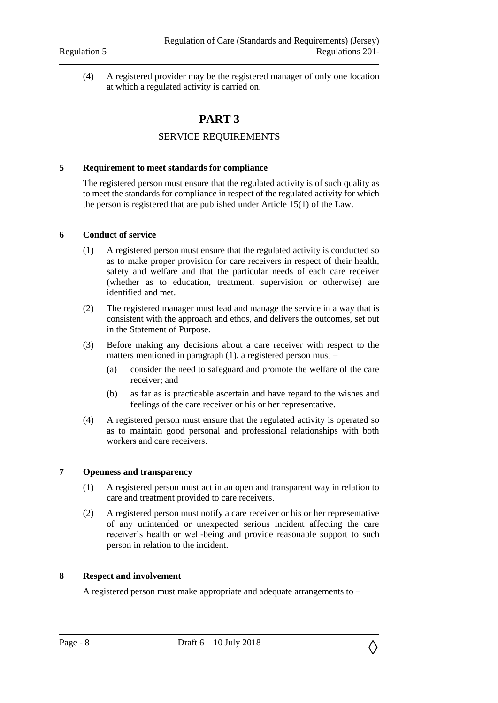<span id="page-7-0"></span>(4) A registered provider may be the registered manager of only one location at which a regulated activity is carried on.

## **PART 3**

## SERVICE REQUIREMENTS

#### <span id="page-7-2"></span><span id="page-7-1"></span>**5 Requirement to meet standards for compliance**

The registered person must ensure that the regulated activity is of such quality as to meet the standards for compliance in respect of the regulated activity for which the person is registered that are published under Article 15(1) of the Law.

#### <span id="page-7-3"></span>**6 Conduct of service**

- (1) A registered person must ensure that the regulated activity is conducted so as to make proper provision for care receivers in respect of their health, safety and welfare and that the particular needs of each care receiver (whether as to education, treatment, supervision or otherwise) are identified and met.
- (2) The registered manager must lead and manage the service in a way that is consistent with the approach and ethos, and delivers the outcomes, set out in the Statement of Purpose.
- (3) Before making any decisions about a care receiver with respect to the matters mentioned in paragraph (1), a registered person must –
	- (a) consider the need to safeguard and promote the welfare of the care receiver; and
	- (b) as far as is practicable ascertain and have regard to the wishes and feelings of the care receiver or his or her representative.
- (4) A registered person must ensure that the regulated activity is operated so as to maintain good personal and professional relationships with both workers and care receivers.

#### <span id="page-7-4"></span>**7 Openness and transparency**

- (1) A registered person must act in an open and transparent way in relation to care and treatment provided to care receivers.
- (2) A registered person must notify a care receiver or his or her representative of any unintended or unexpected serious incident affecting the care receiver's health or well-being and provide reasonable support to such person in relation to the incident.

#### <span id="page-7-5"></span>**8 Respect and involvement**

A registered person must make appropriate and adequate arrangements to –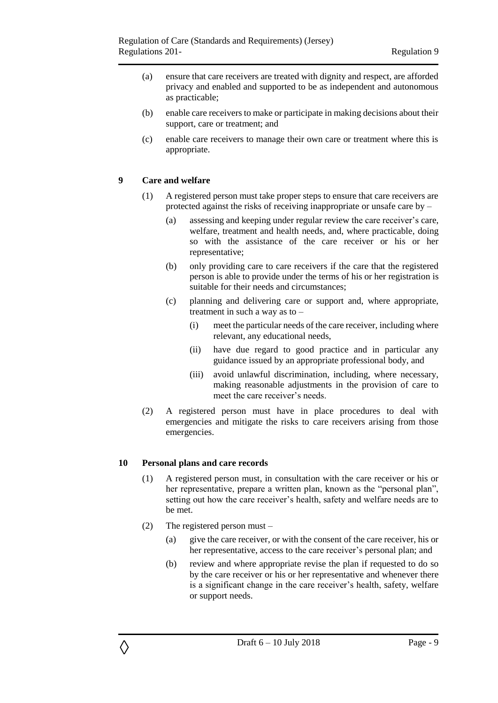- (a) ensure that care receivers are treated with dignity and respect, are afforded privacy and enabled and supported to be as independent and autonomous as practicable;
- (b) enable care receivers to make or participate in making decisions about their support, care or treatment; and
- (c) enable care receivers to manage their own care or treatment where this is appropriate.

#### <span id="page-8-0"></span>**9 Care and welfare**

- (1) A registered person must take proper steps to ensure that care receivers are protected against the risks of receiving inappropriate or unsafe care by –
	- (a) assessing and keeping under regular review the care receiver's care, welfare, treatment and health needs, and, where practicable, doing so with the assistance of the care receiver or his or her representative;
	- (b) only providing care to care receivers if the care that the registered person is able to provide under the terms of his or her registration is suitable for their needs and circumstances;
	- (c) planning and delivering care or support and, where appropriate, treatment in such a way as to –
		- (i) meet the particular needs of the care receiver, including where relevant, any educational needs,
		- (ii) have due regard to good practice and in particular any guidance issued by an appropriate professional body, and
		- (iii) avoid unlawful discrimination, including, where necessary, making reasonable adjustments in the provision of care to meet the care receiver's needs.
- (2) A registered person must have in place procedures to deal with emergencies and mitigate the risks to care receivers arising from those emergencies.

#### <span id="page-8-1"></span>**10 Personal plans and care records**

- (1) A registered person must, in consultation with the care receiver or his or her representative, prepare a written plan, known as the "personal plan", setting out how the care receiver's health, safety and welfare needs are to be met.
- (2) The registered person must
	- (a) give the care receiver, or with the consent of the care receiver, his or her representative, access to the care receiver's personal plan; and
	- (b) review and where appropriate revise the plan if requested to do so by the care receiver or his or her representative and whenever there is a significant change in the care receiver's health, safety, welfare or support needs.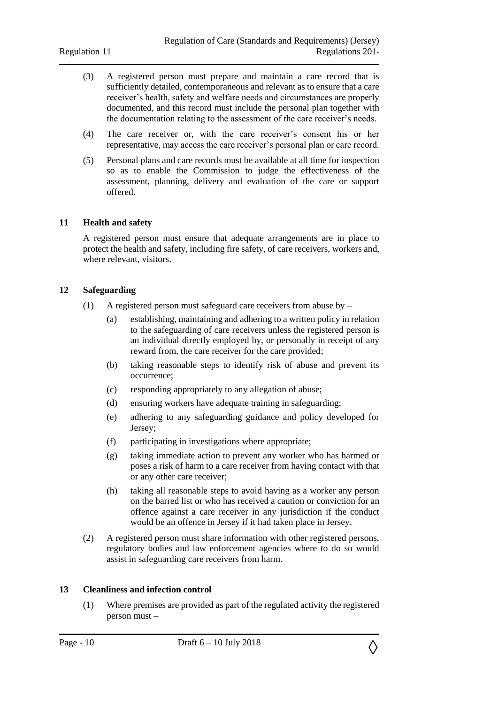- (3) A registered person must prepare and maintain a care record that is sufficiently detailed, contemporaneous and relevant as to ensure that a care receiver's health, safety and welfare needs and circumstances are properly documented, and this record must include the personal plan together with the documentation relating to the assessment of the care receiver's needs.
- (4) The care receiver or, with the care receiver's consent his or her representative, may access the care receiver's personal plan or care record.
- (5) Personal plans and care records must be available at all time for inspection so as to enable the Commission to judge the effectiveness of the assessment, planning, delivery and evaluation of the care or support offered.

#### <span id="page-9-0"></span>**11 Health and safety**

A registered person must ensure that adequate arrangements are in place to protect the health and safety, including fire safety, of care receivers, workers and, where relevant, visitors.

#### <span id="page-9-1"></span>**12 Safeguarding**

- (1) A registered person must safeguard care receivers from abuse by
	- (a) establishing, maintaining and adhering to a written policy in relation to the safeguarding of care receivers unless the registered person is an individual directly employed by, or personally in receipt of any reward from, the care receiver for the care provided;
	- (b) taking reasonable steps to identify risk of abuse and prevent its occurrence;
	- (c) responding appropriately to any allegation of abuse;
	- (d) ensuring workers have adequate training in safeguarding;
	- (e) adhering to any safeguarding guidance and policy developed for Jersey;
	- (f) participating in investigations where appropriate;
	- (g) taking immediate action to prevent any worker who has harmed or poses a risk of harm to a care receiver from having contact with that or any other care receiver;
	- (h) taking all reasonable steps to avoid having as a worker any person on the barred list or who has received a caution or conviction for an offence against a care receiver in any jurisdiction if the conduct would be an offence in Jersey if it had taken place in Jersey.
- (2) A registered person must share information with other registered persons, regulatory bodies and law enforcement agencies where to do so would assist in safeguarding care receivers from harm.

#### <span id="page-9-2"></span>**13 Cleanliness and infection control**

(1) Where premises are provided as part of the regulated activity the registered person must –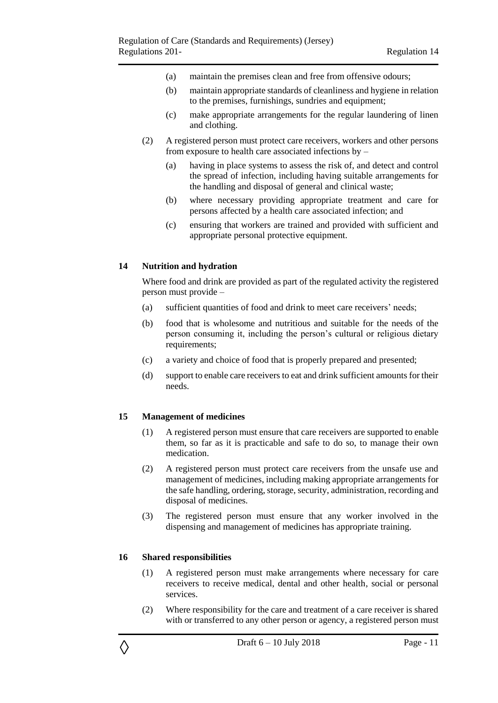- (a) maintain the premises clean and free from offensive odours;
- (b) maintain appropriate standards of cleanliness and hygiene in relation to the premises, furnishings, sundries and equipment;
- (c) make appropriate arrangements for the regular laundering of linen and clothing.
- (2) A registered person must protect care receivers, workers and other persons from exposure to health care associated infections by –
	- (a) having in place systems to assess the risk of, and detect and control the spread of infection, including having suitable arrangements for the handling and disposal of general and clinical waste;
	- (b) where necessary providing appropriate treatment and care for persons affected by a health care associated infection; and
	- (c) ensuring that workers are trained and provided with sufficient and appropriate personal protective equipment.

#### <span id="page-10-0"></span>**14 Nutrition and hydration**

Where food and drink are provided as part of the regulated activity the registered person must provide –

- (a) sufficient quantities of food and drink to meet care receivers' needs;
- (b) food that is wholesome and nutritious and suitable for the needs of the person consuming it, including the person's cultural or religious dietary requirements;
- (c) a variety and choice of food that is properly prepared and presented;
- (d) support to enable care receivers to eat and drink sufficient amounts for their needs.

#### <span id="page-10-1"></span>**15 Management of medicines**

- (1) A registered person must ensure that care receivers are supported to enable them, so far as it is practicable and safe to do so, to manage their own medication.
- (2) A registered person must protect care receivers from the unsafe use and management of medicines, including making appropriate arrangements for the safe handling, ordering, storage, security, administration, recording and disposal of medicines.
- (3) The registered person must ensure that any worker involved in the dispensing and management of medicines has appropriate training.

#### <span id="page-10-2"></span>**16 Shared responsibilities**

- (1) A registered person must make arrangements where necessary for care receivers to receive medical, dental and other health, social or personal services.
- (2) Where responsibility for the care and treatment of a care receiver is shared with or transferred to any other person or agency, a registered person must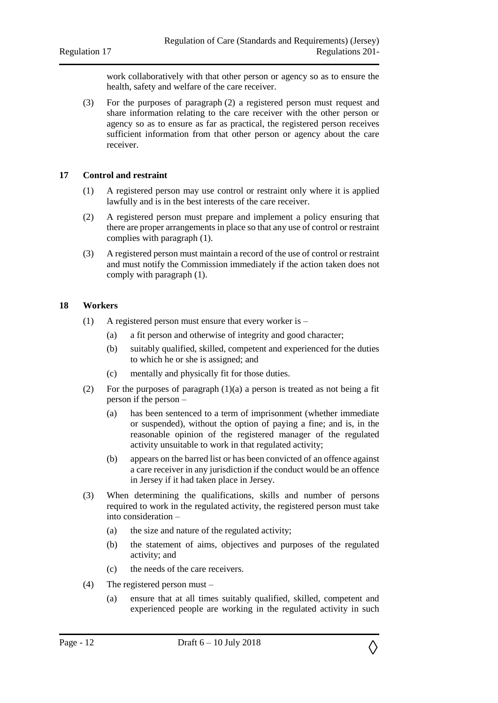work collaboratively with that other person or agency so as to ensure the health, safety and welfare of the care receiver.

(3) For the purposes of paragraph (2) a registered person must request and share information relating to the care receiver with the other person or agency so as to ensure as far as practical, the registered person receives sufficient information from that other person or agency about the care receiver.

#### <span id="page-11-0"></span>**17 Control and restraint**

- (1) A registered person may use control or restraint only where it is applied lawfully and is in the best interests of the care receiver.
- (2) A registered person must prepare and implement a policy ensuring that there are proper arrangements in place so that any use of control or restraint complies with paragraph (1).
- (3) A registered person must maintain a record of the use of control or restraint and must notify the Commission immediately if the action taken does not comply with paragraph (1).

#### <span id="page-11-1"></span>**18 Workers**

- (1) A registered person must ensure that every worker is
	- (a) a fit person and otherwise of integrity and good character;
	- (b) suitably qualified, skilled, competent and experienced for the duties to which he or she is assigned; and
	- (c) mentally and physically fit for those duties.
- (2) For the purposes of paragraph (1)(a) a person is treated as not being a fit person if the person –
	- (a) has been sentenced to a term of imprisonment (whether immediate or suspended), without the option of paying a fine; and is, in the reasonable opinion of the registered manager of the regulated activity unsuitable to work in that regulated activity;
	- (b) appears on the barred list or has been convicted of an offence against a care receiver in any jurisdiction if the conduct would be an offence in Jersey if it had taken place in Jersey.
- (3) When determining the qualifications, skills and number of persons required to work in the regulated activity, the registered person must take into consideration –
	- (a) the size and nature of the regulated activity;
	- (b) the statement of aims, objectives and purposes of the regulated activity; and
	- (c) the needs of the care receivers.
- (4) The registered person must
	- (a) ensure that at all times suitably qualified, skilled, competent and experienced people are working in the regulated activity in such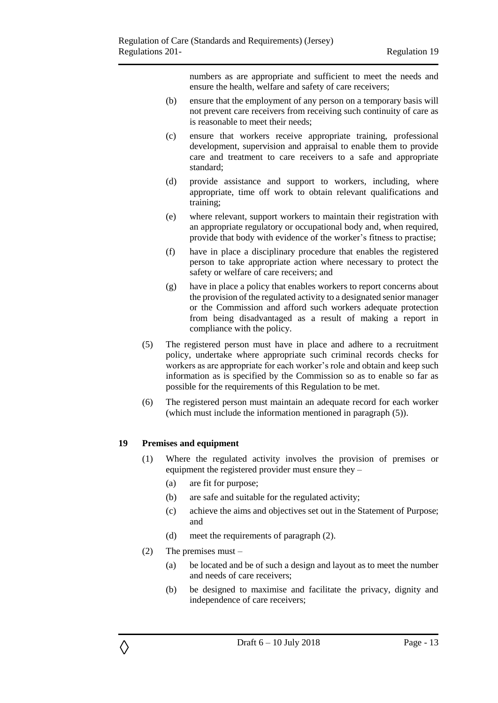numbers as are appropriate and sufficient to meet the needs and ensure the health, welfare and safety of care receivers;

- (b) ensure that the employment of any person on a temporary basis will not prevent care receivers from receiving such continuity of care as is reasonable to meet their needs;
- (c) ensure that workers receive appropriate training, professional development, supervision and appraisal to enable them to provide care and treatment to care receivers to a safe and appropriate standard;
- (d) provide assistance and support to workers, including, where appropriate, time off work to obtain relevant qualifications and training;
- (e) where relevant, support workers to maintain their registration with an appropriate regulatory or occupational body and, when required, provide that body with evidence of the worker's fitness to practise;
- (f) have in place a disciplinary procedure that enables the registered person to take appropriate action where necessary to protect the safety or welfare of care receivers; and
- (g) have in place a policy that enables workers to report concerns about the provision of the regulated activity to a designated senior manager or the Commission and afford such workers adequate protection from being disadvantaged as a result of making a report in compliance with the policy.
- (5) The registered person must have in place and adhere to a recruitment policy, undertake where appropriate such criminal records checks for workers as are appropriate for each worker's role and obtain and keep such information as is specified by the Commission so as to enable so far as possible for the requirements of this Regulation to be met.
- (6) The registered person must maintain an adequate record for each worker (which must include the information mentioned in paragraph (5)).

## <span id="page-12-0"></span>**19 Premises and equipment**

- (1) Where the regulated activity involves the provision of premises or equipment the registered provider must ensure they –
	- (a) are fit for purpose;
	- (b) are safe and suitable for the regulated activity;
	- (c) achieve the aims and objectives set out in the Statement of Purpose; and
	- (d) meet the requirements of paragraph (2).
- (2) The premises must –

- (a) be located and be of such a design and layout as to meet the number and needs of care receivers;
- (b) be designed to maximise and facilitate the privacy, dignity and independence of care receivers;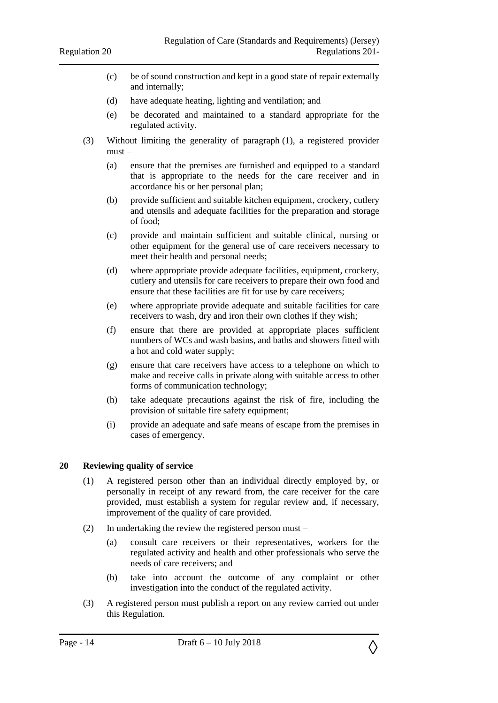- (c) be of sound construction and kept in a good state of repair externally and internally;
- (d) have adequate heating, lighting and ventilation; and
- (e) be decorated and maintained to a standard appropriate for the regulated activity.
- (3) Without limiting the generality of paragraph (1), a registered provider must –
	- (a) ensure that the premises are furnished and equipped to a standard that is appropriate to the needs for the care receiver and in accordance his or her personal plan;
	- (b) provide sufficient and suitable kitchen equipment, crockery, cutlery and utensils and adequate facilities for the preparation and storage of food;
	- (c) provide and maintain sufficient and suitable clinical, nursing or other equipment for the general use of care receivers necessary to meet their health and personal needs;
	- (d) where appropriate provide adequate facilities, equipment, crockery, cutlery and utensils for care receivers to prepare their own food and ensure that these facilities are fit for use by care receivers;
	- (e) where appropriate provide adequate and suitable facilities for care receivers to wash, dry and iron their own clothes if they wish;
	- (f) ensure that there are provided at appropriate places sufficient numbers of WCs and wash basins, and baths and showers fitted with a hot and cold water supply;
	- (g) ensure that care receivers have access to a telephone on which to make and receive calls in private along with suitable access to other forms of communication technology;
	- (h) take adequate precautions against the risk of fire, including the provision of suitable fire safety equipment;
	- (i) provide an adequate and safe means of escape from the premises in cases of emergency.

#### <span id="page-13-0"></span>**20 Reviewing quality of service**

- (1) A registered person other than an individual directly employed by, or personally in receipt of any reward from, the care receiver for the care provided, must establish a system for regular review and, if necessary, improvement of the quality of care provided.
- (2) In undertaking the review the registered person must
	- (a) consult care receivers or their representatives, workers for the regulated activity and health and other professionals who serve the needs of care receivers; and
	- (b) take into account the outcome of any complaint or other investigation into the conduct of the regulated activity.
- (3) A registered person must publish a report on any review carried out under this Regulation.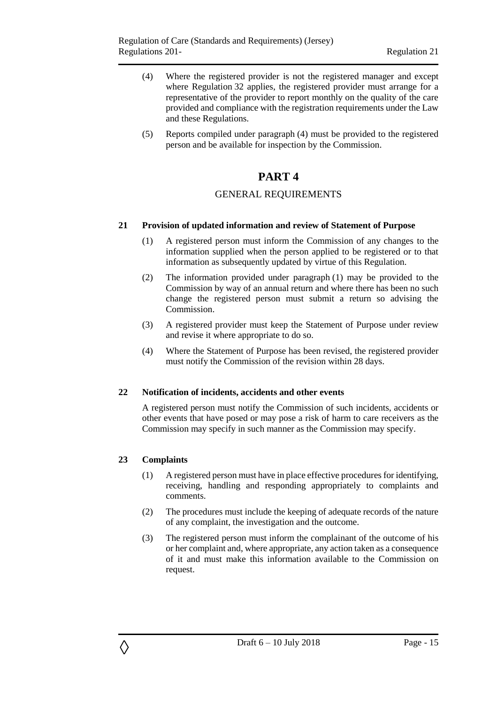- (4) Where the registered provider is not the registered manager and except where Regulation 32 applies, the registered provider must arrange for a representative of the provider to report monthly on the quality of the care provided and compliance with the registration requirements under the Law and these Regulations.
- <span id="page-14-0"></span>(5) Reports compiled under paragraph (4) must be provided to the registered person and be available for inspection by the Commission.

## **PART 4**

#### GENERAL REQUIREMENTS

#### <span id="page-14-2"></span><span id="page-14-1"></span>**21 Provision of updated information and review of Statement of Purpose**

- (1) A registered person must inform the Commission of any changes to the information supplied when the person applied to be registered or to that information as subsequently updated by virtue of this Regulation.
- (2) The information provided under paragraph (1) may be provided to the Commission by way of an annual return and where there has been no such change the registered person must submit a return so advising the Commission.
- (3) A registered provider must keep the Statement of Purpose under review and revise it where appropriate to do so.
- (4) Where the Statement of Purpose has been revised, the registered provider must notify the Commission of the revision within 28 days.

#### <span id="page-14-3"></span>**22 Notification of incidents, accidents and other events**

A registered person must notify the Commission of such incidents, accidents or other events that have posed or may pose a risk of harm to care receivers as the Commission may specify in such manner as the Commission may specify.

#### <span id="page-14-4"></span>**23 Complaints**

- (1) A registered person must have in place effective procedures for identifying, receiving, handling and responding appropriately to complaints and comments.
- (2) The procedures must include the keeping of adequate records of the nature of any complaint, the investigation and the outcome.
- (3) The registered person must inform the complainant of the outcome of his or her complaint and, where appropriate, any action taken as a consequence of it and must make this information available to the Commission on request.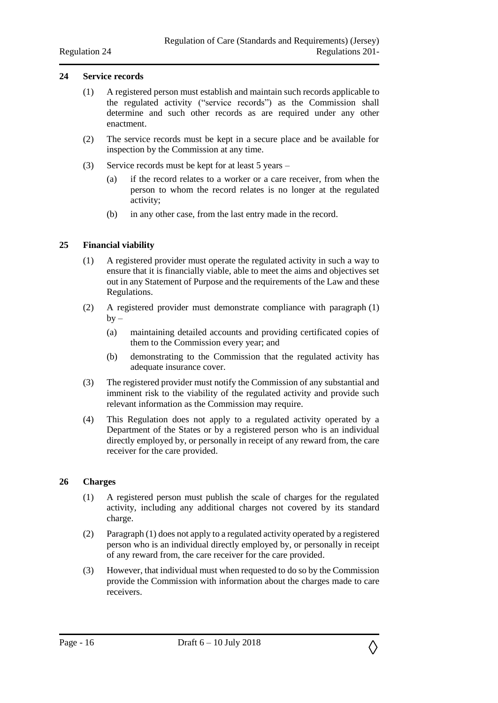#### <span id="page-15-0"></span>**24 Service records**

- (1) A registered person must establish and maintain such records applicable to the regulated activity ("service records") as the Commission shall determine and such other records as are required under any other enactment.
- (2) The service records must be kept in a secure place and be available for inspection by the Commission at any time.
- (3) Service records must be kept for at least 5 years
	- (a) if the record relates to a worker or a care receiver, from when the person to whom the record relates is no longer at the regulated activity;
	- (b) in any other case, from the last entry made in the record.

#### <span id="page-15-1"></span>**25 Financial viability**

- (1) A registered provider must operate the regulated activity in such a way to ensure that it is financially viable, able to meet the aims and objectives set out in any Statement of Purpose and the requirements of the Law and these Regulations.
- (2) A registered provider must demonstrate compliance with paragraph (1)  $by -$ 
	- (a) maintaining detailed accounts and providing certificated copies of them to the Commission every year; and
	- (b) demonstrating to the Commission that the regulated activity has adequate insurance cover.
- (3) The registered provider must notify the Commission of any substantial and imminent risk to the viability of the regulated activity and provide such relevant information as the Commission may require.
- (4) This Regulation does not apply to a regulated activity operated by a Department of the States or by a registered person who is an individual directly employed by, or personally in receipt of any reward from, the care receiver for the care provided.

#### <span id="page-15-2"></span>**26 Charges**

- (1) A registered person must publish the scale of charges for the regulated activity, including any additional charges not covered by its standard charge.
- (2) Paragraph (1) does not apply to a regulated activity operated by a registered person who is an individual directly employed by, or personally in receipt of any reward from, the care receiver for the care provided.
- (3) However, that individual must when requested to do so by the Commission provide the Commission with information about the charges made to care receivers.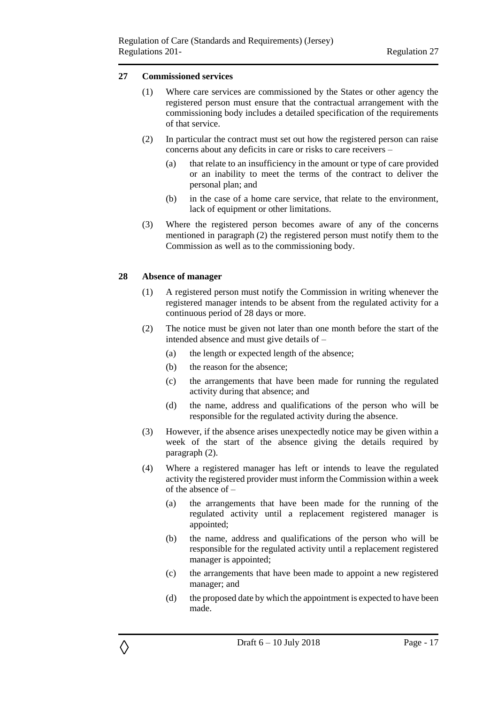#### <span id="page-16-0"></span>**27 Commissioned services**

- (1) Where care services are commissioned by the States or other agency the registered person must ensure that the contractual arrangement with the commissioning body includes a detailed specification of the requirements of that service.
- (2) In particular the contract must set out how the registered person can raise concerns about any deficits in care or risks to care receivers –
	- (a) that relate to an insufficiency in the amount or type of care provided or an inability to meet the terms of the contract to deliver the personal plan; and
	- (b) in the case of a home care service, that relate to the environment, lack of equipment or other limitations.
- (3) Where the registered person becomes aware of any of the concerns mentioned in paragraph (2) the registered person must notify them to the Commission as well as to the commissioning body.

#### <span id="page-16-1"></span>**28 Absence of manager**

- (1) A registered person must notify the Commission in writing whenever the registered manager intends to be absent from the regulated activity for a continuous period of 28 days or more.
- (2) The notice must be given not later than one month before the start of the intended absence and must give details of –
	- (a) the length or expected length of the absence;
	- (b) the reason for the absence;
	- (c) the arrangements that have been made for running the regulated activity during that absence; and
	- (d) the name, address and qualifications of the person who will be responsible for the regulated activity during the absence.
- (3) However, if the absence arises unexpectedly notice may be given within a week of the start of the absence giving the details required by paragraph (2).
- (4) Where a registered manager has left or intends to leave the regulated activity the registered provider must inform the Commission within a week of the absence of –
	- (a) the arrangements that have been made for the running of the regulated activity until a replacement registered manager is appointed;
	- (b) the name, address and qualifications of the person who will be responsible for the regulated activity until a replacement registered manager is appointed;
	- (c) the arrangements that have been made to appoint a new registered manager; and
	- (d) the proposed date by which the appointment is expected to have been made.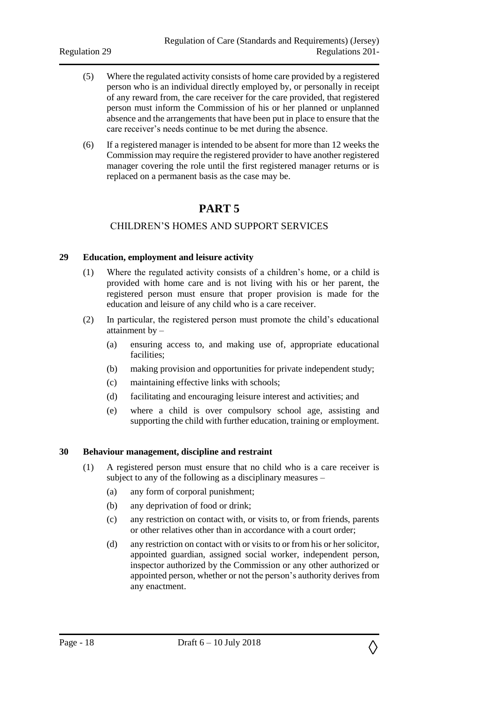- (5) Where the regulated activity consists of home care provided by a registered person who is an individual directly employed by, or personally in receipt of any reward from, the care receiver for the care provided, that registered person must inform the Commission of his or her planned or unplanned absence and the arrangements that have been put in place to ensure that the care receiver's needs continue to be met during the absence.
- <span id="page-17-0"></span>(6) If a registered manager is intended to be absent for more than 12 weeks the Commission may require the registered provider to have another registered manager covering the role until the first registered manager returns or is replaced on a permanent basis as the case may be.

## **PART 5**

## CHILDREN'S HOMES AND SUPPORT SERVICES

#### <span id="page-17-2"></span><span id="page-17-1"></span>**29 Education, employment and leisure activity**

- (1) Where the regulated activity consists of a children's home, or a child is provided with home care and is not living with his or her parent, the registered person must ensure that proper provision is made for the education and leisure of any child who is a care receiver.
- (2) In particular, the registered person must promote the child's educational attainment by –
	- (a) ensuring access to, and making use of, appropriate educational facilities;
	- (b) making provision and opportunities for private independent study;
	- (c) maintaining effective links with schools;
	- (d) facilitating and encouraging leisure interest and activities; and
	- (e) where a child is over compulsory school age, assisting and supporting the child with further education, training or employment.

#### <span id="page-17-3"></span>**30 Behaviour management, discipline and restraint**

- (1) A registered person must ensure that no child who is a care receiver is subject to any of the following as a disciplinary measures –
	- (a) any form of corporal punishment;
	- (b) any deprivation of food or drink;
	- (c) any restriction on contact with, or visits to, or from friends, parents or other relatives other than in accordance with a court order;
	- (d) any restriction on contact with or visits to or from his or her solicitor, appointed guardian, assigned social worker, independent person, inspector authorized by the Commission or any other authorized or appointed person, whether or not the person's authority derives from any enactment.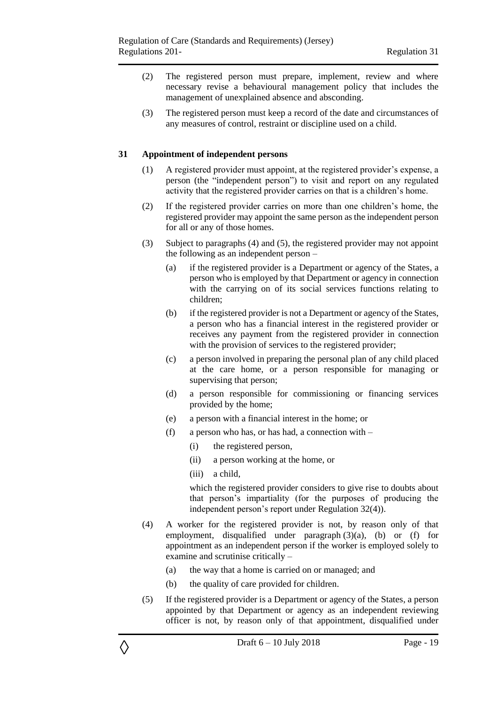- (2) The registered person must prepare, implement, review and where necessary revise a behavioural management policy that includes the management of unexplained absence and absconding.
- (3) The registered person must keep a record of the date and circumstances of any measures of control, restraint or discipline used on a child.

#### <span id="page-18-0"></span>**31 Appointment of independent persons**

- (1) A registered provider must appoint, at the registered provider's expense, a person (the "independent person") to visit and report on any regulated activity that the registered provider carries on that is a children's home.
- (2) If the registered provider carries on more than one children's home, the registered provider may appoint the same person as the independent person for all or any of those homes.
- (3) Subject to paragraphs (4) and (5), the registered provider may not appoint the following as an independent person –
	- (a) if the registered provider is a Department or agency of the States, a person who is employed by that Department or agency in connection with the carrying on of its social services functions relating to children;
	- (b) if the registered provider is not a Department or agency of the States, a person who has a financial interest in the registered provider or receives any payment from the registered provider in connection with the provision of services to the registered provider;
	- (c) a person involved in preparing the personal plan of any child placed at the care home, or a person responsible for managing or supervising that person;
	- (d) a person responsible for commissioning or financing services provided by the home;
	- (e) a person with a financial interest in the home; or
	- (f) a person who has, or has had, a connection with  $-$ 
		- (i) the registered person,
		- (ii) a person working at the home, or
		- (iii) a child,

◊

which the registered provider considers to give rise to doubts about that person's impartiality (for the purposes of producing the independent person's report under Regulation 32(4)).

- (4) A worker for the registered provider is not, by reason only of that employment, disqualified under paragraph (3)(a), (b) or (f) for appointment as an independent person if the worker is employed solely to examine and scrutinise critically –
	- (a) the way that a home is carried on or managed; and
	- (b) the quality of care provided for children.
- (5) If the registered provider is a Department or agency of the States, a person appointed by that Department or agency as an independent reviewing officer is not, by reason only of that appointment, disqualified under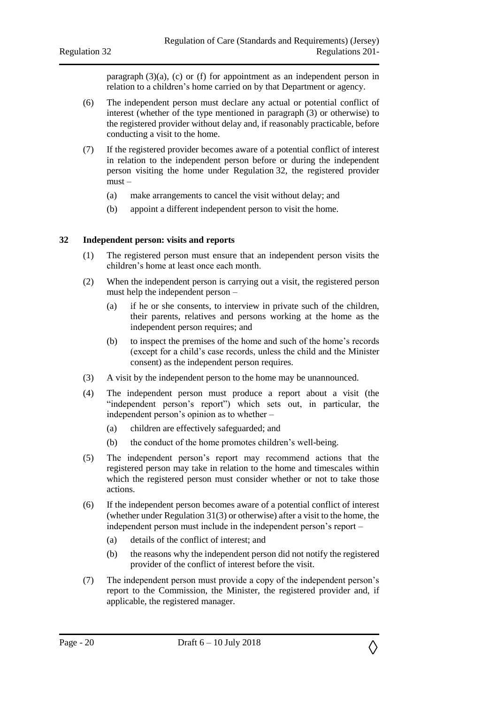paragraph  $(3)(a)$ ,  $(c)$  or  $(f)$  for appointment as an independent person in relation to a children's home carried on by that Department or agency.

- (6) The independent person must declare any actual or potential conflict of interest (whether of the type mentioned in paragraph (3) or otherwise) to the registered provider without delay and, if reasonably practicable, before conducting a visit to the home.
- (7) If the registered provider becomes aware of a potential conflict of interest in relation to the independent person before or during the independent person visiting the home under Regulation 32, the registered provider must –
	- (a) make arrangements to cancel the visit without delay; and
	- (b) appoint a different independent person to visit the home.

#### <span id="page-19-0"></span>**32 Independent person: visits and reports**

- (1) The registered person must ensure that an independent person visits the children's home at least once each month.
- (2) When the independent person is carrying out a visit, the registered person must help the independent person –
	- (a) if he or she consents, to interview in private such of the children, their parents, relatives and persons working at the home as the independent person requires; and
	- (b) to inspect the premises of the home and such of the home's records (except for a child's case records, unless the child and the Minister consent) as the independent person requires.
- (3) A visit by the independent person to the home may be unannounced.
- (4) The independent person must produce a report about a visit (the "independent person's report") which sets out, in particular, the independent person's opinion as to whether –
	- (a) children are effectively safeguarded; and
	- (b) the conduct of the home promotes children's well-being.
- (5) The independent person's report may recommend actions that the registered person may take in relation to the home and timescales within which the registered person must consider whether or not to take those actions.
- (6) If the independent person becomes aware of a potential conflict of interest (whether under Regulation 31(3) or otherwise) after a visit to the home, the independent person must include in the independent person's report –
	- (a) details of the conflict of interest; and
	- (b) the reasons why the independent person did not notify the registered provider of the conflict of interest before the visit.
- (7) The independent person must provide a copy of the independent person's report to the Commission, the Minister, the registered provider and, if applicable, the registered manager.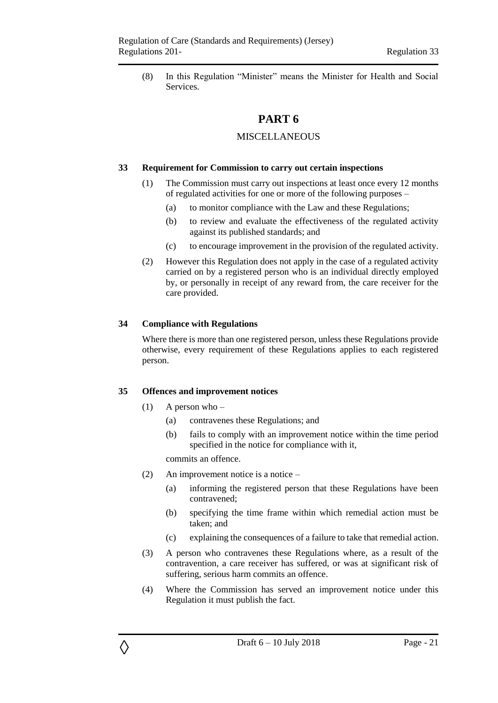<span id="page-20-0"></span>(8) In this Regulation "Minister" means the Minister for Health and Social Services.

## **PART 6**

### MISCELL ANEOUS

#### <span id="page-20-2"></span><span id="page-20-1"></span>**33 Requirement for Commission to carry out certain inspections**

- (1) The Commission must carry out inspections at least once every 12 months of regulated activities for one or more of the following purposes –
	- (a) to monitor compliance with the Law and these Regulations;
	- (b) to review and evaluate the effectiveness of the regulated activity against its published standards; and
	- (c) to encourage improvement in the provision of the regulated activity.
- (2) However this Regulation does not apply in the case of a regulated activity carried on by a registered person who is an individual directly employed by, or personally in receipt of any reward from, the care receiver for the care provided.

#### <span id="page-20-3"></span>**34 Compliance with Regulations**

Where there is more than one registered person, unless these Regulations provide otherwise, every requirement of these Regulations applies to each registered person.

#### <span id="page-20-4"></span>**35 Offences and improvement notices**

(1) A person who –

◊

- (a) contravenes these Regulations; and
- (b) fails to comply with an improvement notice within the time period specified in the notice for compliance with it,

commits an offence.

- (2) An improvement notice is a notice
	- (a) informing the registered person that these Regulations have been contravened;
	- (b) specifying the time frame within which remedial action must be taken; and
	- (c) explaining the consequences of a failure to take that remedial action.
- (3) A person who contravenes these Regulations where, as a result of the contravention, a care receiver has suffered, or was at significant risk of suffering, serious harm commits an offence.
- (4) Where the Commission has served an improvement notice under this Regulation it must publish the fact.